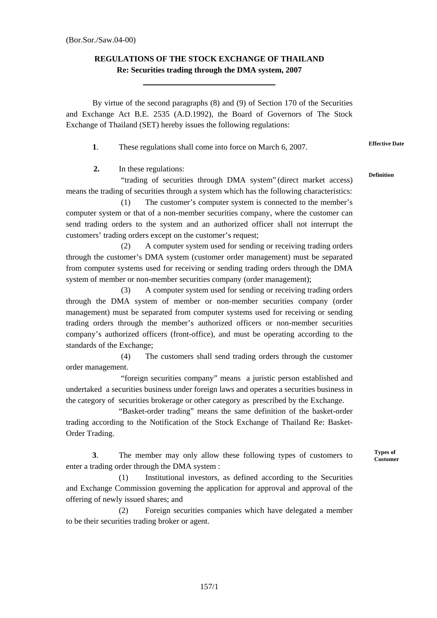## **REGULATIONS OF THE STOCK EXCHANGE OF THAILAND Re: Securities trading through the DMA system, 2007**

By virtue of the second paragraphs (8) and (9) of Section 170 of the Securities and Exchange Act B.E. 2535 (A.D.1992), the Board of Governors of The Stock Exchange of Thailand (SET) hereby issues the following regulations:

**1**. These regulations shall come into force on March 6, 2007. **Effective Date**

**2.** In these regulations:

"trading of securities through DMA system" (direct market access) means the trading of securities through a system which has the following characteristics:

(1) The customer's computer system is connected to the member's computer system or that of a non-member securities company, where the customer can send trading orders to the system and an authorized officer shall not interrupt the customers' trading orders except on the customer's request;

(2) A computer system used for sending or receiving trading orders through the customer's DMA system (customer order management) must be separated from computer systems used for receiving or sending trading orders through the DMA system of member or non-member securities company (order management);

(3) A computer system used for sending or receiving trading orders through the DMA system of member or non-member securities company (order management) must be separated from computer systems used for receiving or sending trading orders through the member's authorized officers or non-member securities company's authorized officers (front-office), and must be operating according to the standards of the Exchange;

(4) The customers shall send trading orders through the customer order management.

"foreign securities company" means a juristic person established and undertaked a securities business under foreign laws and operates a securities business in the category of securities brokerage or other category as prescribed by the Exchange.

"Basket-order trading" means the same definition of the basket-order trading according to the Notification of the Stock Exchange of Thailand Re: Basket-Order Trading.

**3**. The member may only allow these following types of customers to enter a trading order through the DMA system :

(1) Institutional investors, as defined according to the Securities and Exchange Commission governing the application for approval and approval of the offering of newly issued shares; and

(2) Foreign securities companies which have delegated a member to be their securities trading broker or agent.

**Types of Customer** 

**Definition**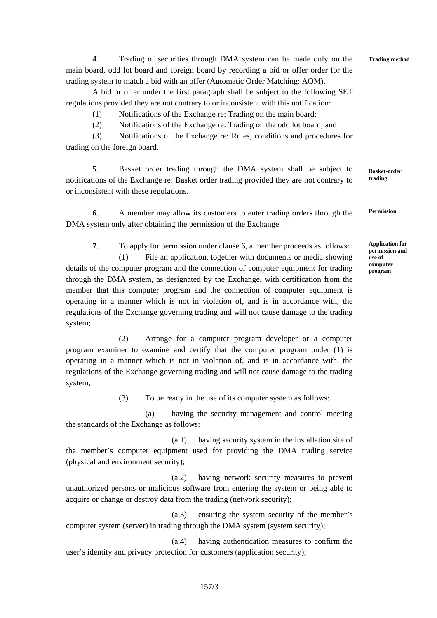**4**. Trading of securities through DMA system can be made only on the main board, odd lot board and foreign board by recording a bid or offer order for the trading system to match a bid with an offer (Automatic Order Matching: AOM).

A bid or offer under the first paragraph shall be subject to the following SET regulations provided they are not contrary to or inconsistent with this notification:

(1) Notifications of the Exchange re: Trading on the main board;

(2) Notifications of the Exchange re: Trading on the odd lot board; and

(3) Notifications of the Exchange re: Rules, conditions and procedures for trading on the foreign board.

**5**. Basket order trading through the DMA system shall be subject to notifications of the Exchange re: Basket order trading provided they are not contrary to or inconsistent with these regulations. **Basket-order trading**

**6**. A member may allow its customers to enter trading orders through the DMA system only after obtaining the permission of the Exchange. **Permission** 

**7**. To apply for permission under clause 6, a member proceeds as follows:

(1) File an application, together with documents or media showing details of the computer program and the connection of computer equipment for trading through the DMA system, as designated by the Exchange, with certification from the member that this computer program and the connection of computer equipment is operating in a manner which is not in violation of, and is in accordance with, the regulations of the Exchange governing trading and will not cause damage to the trading system;

(2) Arrange for a computer program developer or a computer program examiner to examine and certify that the computer program under (1) is operating in a manner which is not in violation of, and is in accordance with, the regulations of the Exchange governing trading and will not cause damage to the trading system;

(3) To be ready in the use of its computer system as follows:

(a) having the security management and control meeting the standards of the Exchange as follows:

(a.1) having security system in the installation site of the member's computer equipment used for providing the DMA trading service (physical and environment security);

(a.2) having network security measures to prevent unauthorized persons or malicious software from entering the system or being able to acquire or change or destroy data from the trading (network security);

(a.3) ensuring the system security of the member's computer system (server) in trading through the DMA system (system security);

(a.4) having authentication measures to confirm the user's identity and privacy protection for customers (application security);

**Application for permission and use of computer program**

**Trading method**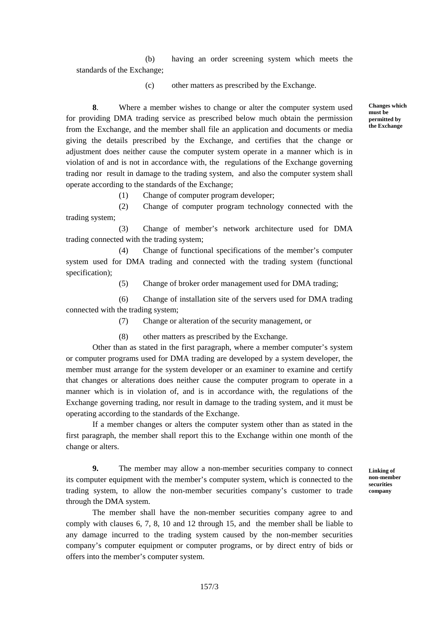(b) having an order screening system which meets the standards of the Exchange;

(c) other matters as prescribed by the Exchange.

**8**. Where a member wishes to change or alter the computer system used for providing DMA trading service as prescribed below much obtain the permission from the Exchange, and the member shall file an application and documents or media giving the details prescribed by the Exchange, and certifies that the change or adjustment does neither cause the computer system operate in a manner which is in violation of and is not in accordance with, the regulations of the Exchange governing trading nor result in damage to the trading system, and also the computer system shall operate according to the standards of the Exchange;

(1) Change of computer program developer;

(2) Change of computer program technology connected with the trading system;

(3) Change of member's network architecture used for DMA trading connected with the trading system;

(4) Change of functional specifications of the member's computer system used for DMA trading and connected with the trading system (functional specification);

(5) Change of broker order management used for DMA trading;

(6) Change of installation site of the servers used for DMA trading connected with the trading system;

(7) Change or alteration of the security management, or

(8) other matters as prescribed by the Exchange.

Other than as stated in the first paragraph, where a member computer's system or computer programs used for DMA trading are developed by a system developer, the member must arrange for the system developer or an examiner to examine and certify that changes or alterations does neither cause the computer program to operate in a manner which is in violation of, and is in accordance with, the regulations of the Exchange governing trading, nor result in damage to the trading system, and it must be operating according to the standards of the Exchange.

If a member changes or alters the computer system other than as stated in the first paragraph, the member shall report this to the Exchange within one month of the change or alters.

**9.** The member may allow a non-member securities company to connect its computer equipment with the member's computer system, which is connected to the trading system, to allow the non-member securities company's customer to trade through the DMA system.

The member shall have the non-member securities company agree to and comply with clauses 6, 7, 8, 10 and 12 through 15, and the member shall be liable to any damage incurred to the trading system caused by the non-member securities company's computer equipment or computer programs, or by direct entry of bids or offers into the member's computer system.

**Linking of non-member securities company** 

**Changes which must be permitted by the Exchange**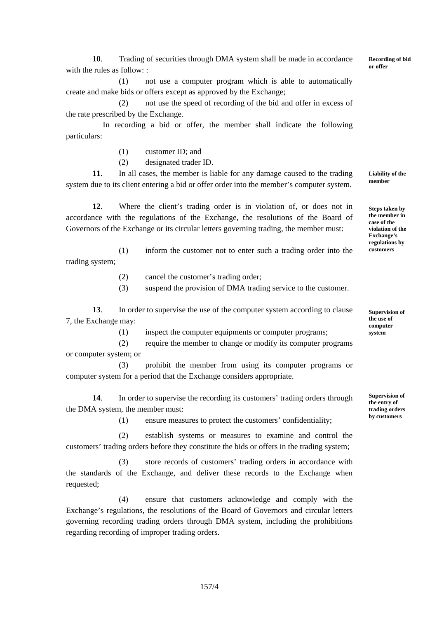**10**. Trading of securities through DMA system shall be made in accordance with the rules as follow: :

(1) not use a computer program which is able to automatically create and make bids or offers except as approved by the Exchange;

(2) not use the speed of recording of the bid and offer in excess of the rate prescribed by the Exchange.

In recording a bid or offer, the member shall indicate the following particulars:

(1) customer ID; and

(2) designated trader ID.

**11**. In all cases, the member is liable for any damage caused to the trading system due to its client entering a bid or offer order into the member's computer system.

**12**. Where the client's trading order is in violation of, or does not in accordance with the regulations of the Exchange, the resolutions of the Board of Governors of the Exchange or its circular letters governing trading, the member must:

(1) inform the customer not to enter such a trading order into the trading system;

(2) cancel the customer's trading order;

(3) suspend the provision of DMA trading service to the customer.

**13**. In order to supervise the use of the computer system according to clause 7, the Exchange may:

(1) inspect the computer equipments or computer programs;

 (2) require the member to change or modify its computer programs or computer system; or

 (3) prohibit the member from using its computer programs or computer system for a period that the Exchange considers appropriate.

**14**. In order to supervise the recording its customers' trading orders through the DMA system, the member must:

(1) ensure measures to protect the customers' confidentiality;

(2) establish systems or measures to examine and control the customers' trading orders before they constitute the bids or offers in the trading system;

(3) store records of customers' trading orders in accordance with the standards of the Exchange, and deliver these records to the Exchange when requested;

(4) ensure that customers acknowledge and comply with the Exchange's regulations, the resolutions of the Board of Governors and circular letters governing recording trading orders through DMA system, including the prohibitions regarding recording of improper trading orders.

**Liability of the member** 

**Steps taken by the member in case of the violation of the Exchange's regulations by customers**

**Supervision of the use of computer system** 

**Supervision of the entry of trading orders by customers**

**Recording of bid or offer**